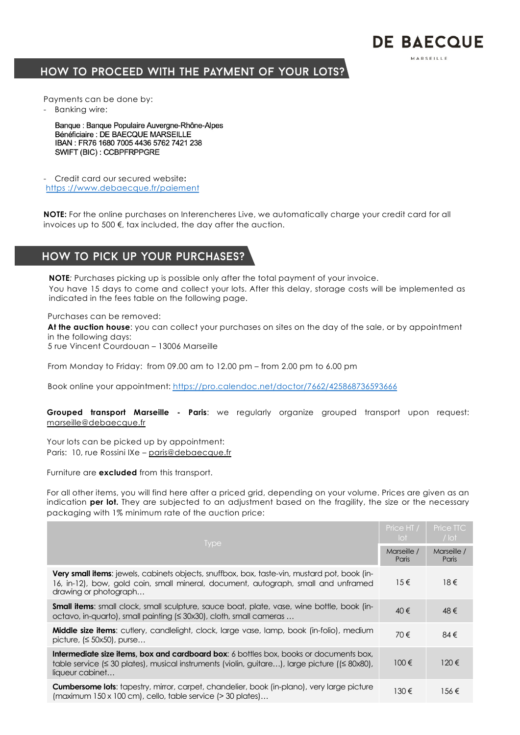# HOW TO PROCEED WITH THE PAYMENT OF YOUR LOTS?

Payments can be done by:

- Banking wire:

Banque : Banque Populaire Auvergne-Rhône-Alpes Bénéficiaire : DE BAECQUE MARSEILLE IBAN: FR76 1680 7005 4436 5762 7421 238 SWIFT (BIC): CCBPFRPPGRE

- Credit card our secured website**:** https [://www.debaecque.fr/paiem](https://www.debaecque.fr/paiement)ent

**NOTE:** For the online purchases on Interencheres Live, we automatically charge your credit card for all invoices up to 500 €, tax included, the day after the auction.

**DE BAECOUE** MADSELLIE

## How to pick up your purchases?

**NOTE***:* Purchases picking up is possible only after the total payment of your invoice. You have 15 days to come and collect your lots. After this delay, storage costs will be implemented as indicated in the fees table on the following page.

Purchases can be removed:

**At the auction house**: you can collect your purchases on sites on the day of the sale, or by appointment in the following days:

5 rue Vincent Courdouan – 13006 Marseille

From Monday to Friday: from 09.00 am to 12.00 pm – from 2.00 pm to 6.00 pm

Book online your appointment: [https://pro.calendoc.net/doctor/7662/425868736593](https://pro.calendoc.net/doctor/7662/425868736593666)666

**Grouped transport Marseille - Paris**: we regularly organize grouped transport upon request: marseille@debaecque.fr

Your lots can be picked up by appointment: Paris: 10, rue Rossini IXe – paris@debaecque.fr

Furniture are **excluded** from this transport.

For all other items, you will find here after a priced grid, depending on your volume. Prices are given as an indication **per lot.** They are subjected to an adjustment based on the fragility, the size or the necessary packaging with 1% minimum rate of the auction price:

|                                                                                                                                                                                                                    | Price HT /<br>lot | Price TTC<br>$/$ lot |
|--------------------------------------------------------------------------------------------------------------------------------------------------------------------------------------------------------------------|-------------------|----------------------|
| <b>Type</b>                                                                                                                                                                                                        |                   | Marseille /<br>Paris |
| <b>Very small items:</b> jewels, cabinets objects, snuffbox, box, taste-vin, mustard pot, book (in-<br>16, in-12), bow, gold coin, small mineral, document, autograph, small and unframed<br>drawing or photograph | $15 \in$          | $18 \in$             |
| <b>Small items:</b> small clock, small sculpture, sauce boat, plate, vase, wine bottle, book (in-<br>octavo, in-quarto), small painting (≤ 30x30), cloth, small cameras                                            | 40€               | 48€                  |
| <b>Middle size items:</b> cutlery, candlelight, clock, large vase, lamp, book (in-folio), medium<br>picture, $( \leq 50 \times 50)$ , purse                                                                        | 70€               | 84€                  |
| <b>Intermediate size items, box and cardboard box:</b> 6 bottles box, books or documents box,<br>table service (≤ 30 plates), musical instruments (violin, guitare), large picture ((≤ 80x80),<br>liqueur cabinet  |                   | 120€                 |
| <b>Cumbersome lots:</b> tapestry, mirror, carpet, chandelier, book (in-plano), very large picture<br>(maximum 150 x 100 cm), cello, table service (> 30 plates)                                                    | 130€              | 156€                 |